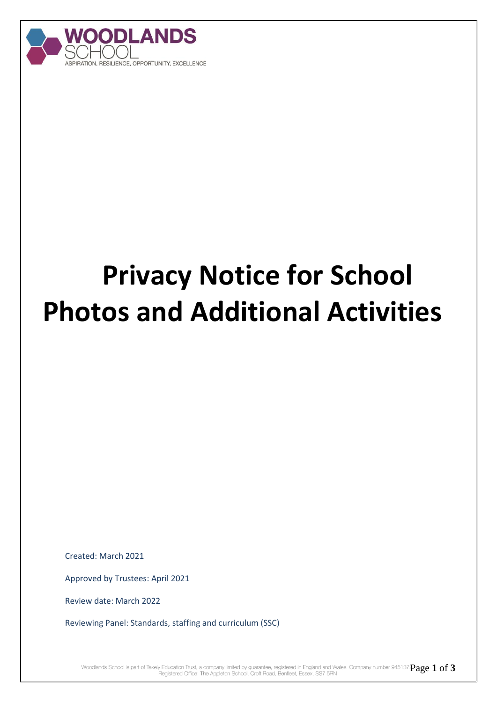

## **Privacy Notice for School Photos and Additional Activities**

Created: March 2021

Approved by Trustees: April 2021

Review date: March 2022

Reviewing Panel: Standards, staffing and curriculum (SSC)

Woodlands School is part of Takely Education Trust, a company limited by guarantee, registered in England and Wales. Company number 945137 $\mathbf{Page 1 of 3}$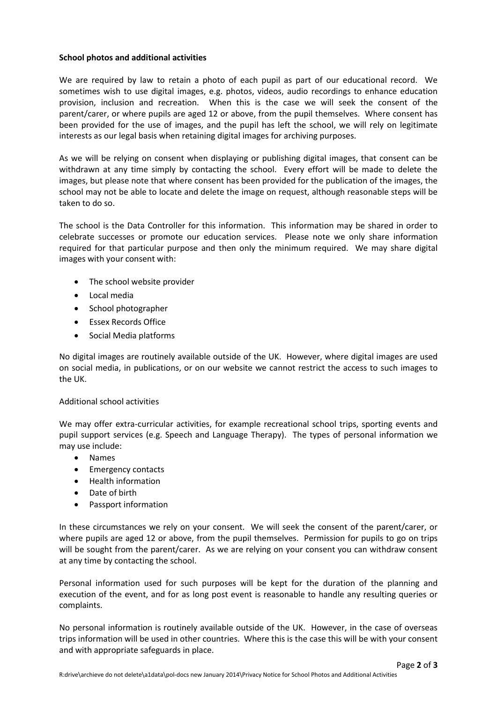## **School photos and additional activities**

We are required by law to retain a photo of each pupil as part of our educational record. We sometimes wish to use digital images, e.g. photos, videos, audio recordings to enhance education provision, inclusion and recreation. When this is the case we will seek the consent of the parent/carer, or where pupils are aged 12 or above, from the pupil themselves. Where consent has been provided for the use of images, and the pupil has left the school, we will rely on legitimate interests as our legal basis when retaining digital images for archiving purposes.

As we will be relying on consent when displaying or publishing digital images, that consent can be withdrawn at any time simply by contacting the school. Every effort will be made to delete the images, but please note that where consent has been provided for the publication of the images, the school may not be able to locate and delete the image on request, although reasonable steps will be taken to do so.

The school is the Data Controller for this information. This information may be shared in order to celebrate successes or promote our education services. Please note we only share information required for that particular purpose and then only the minimum required. We may share digital images with your consent with:

- The school website provider
- Local media
- School photographer
- Essex Records Office
- Social Media platforms

No digital images are routinely available outside of the UK. However, where digital images are used on social media, in publications, or on our website we cannot restrict the access to such images to the UK.

## Additional school activities

We may offer extra-curricular activities, for example recreational school trips, sporting events and pupil support services (e.g. Speech and Language Therapy). The types of personal information we may use include:

- Names
- Emergency contacts
- Health information
- Date of birth
- Passport information

In these circumstances we rely on your consent. We will seek the consent of the parent/carer, or where pupils are aged 12 or above, from the pupil themselves. Permission for pupils to go on trips will be sought from the parent/carer. As we are relying on your consent you can withdraw consent at any time by contacting the school.

Personal information used for such purposes will be kept for the duration of the planning and execution of the event, and for as long post event is reasonable to handle any resulting queries or complaints.

No personal information is routinely available outside of the UK. However, in the case of overseas trips information will be used in other countries. Where this is the case this will be with your consent and with appropriate safeguards in place.